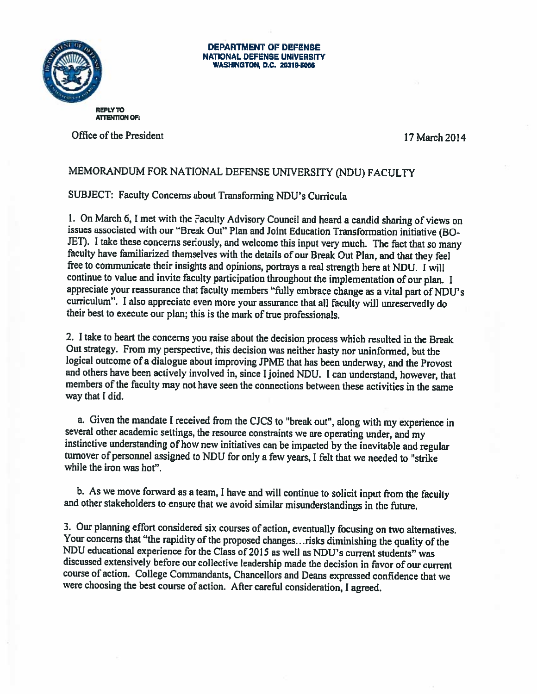

## DEPARTMENT OF DEFENSE NATIONAL DEFENSE UNIVERSITY WASHINGTON, D.C. 20319-5066

**REPLY TO ATTENTION OF:** 

Office of the President 17 March 2014

## MEMORANDUM FOR NATIONAL DEFENSE UNIVERSITY (NDU) FACULTY

SUBJECT: Faculty Concerns about Transforming NDU's Curricula

1. On March 6, <sup>I</sup> met with the Faculty Advisory Council and heard <sup>a</sup> candid sharing of views on issues associated with our "Break Out" Plan and Joint Education Transformation initiative (BO JET). <sup>I</sup> take these concerns seriously, and welcome this input very much. The fact that so many faculty have familiarized themselves with the details of our Break Out Plan, and that they feel free to communicate their insights and opinions, portrays <sup>a</sup> real strength here at NDU. <sup>I</sup> will continue to value and invite faculty participation throughout the implementation of our <sup>p</sup>lan. <sup>I</sup> appreciate your reassurance that faculty members "filly embrace change as <sup>a</sup> vital part of NDU's curriculum". I also appreciate even more your assurance that all faculty will unreservedly do their best to execute our plan; this is the mark of true professionals.

2. <sup>1</sup> take to heart the concerns you raise about the decision process which resulted in the Break Out strategy. From my perspective, this decision was neither hasty nor uninformed, but the logical outcome of <sup>a</sup> dialogue about improving JPME that has been underway, and the Provost and others have been actively involved in, since I joined NDU. I can understand, however, that members of the faculty may not have seen the connections between these activities in the same way that I did.

a. Given the mandate <sup>I</sup> received from the CJCS to "break out", along with my experience in several other academic settings, the resource constraints we are operating under, and my instinctive understanding of how new initiatives can be impacted by the inevitable and regular turnover of personnel assigned to NDU for only <sup>a</sup> few years, <sup>I</sup> felt that we needed to "strike while the iron was hot".

b. As we move forward as <sup>a</sup> team, <sup>I</sup> have and will continue to solicit input from the faculty and other stakeholders to ensure that we avoid similar misunderstandings in the future.

3. Our <sup>p</sup>lanning effort considered six courses of action, eventually focusing on two alternatives. Your concerns that "the rapidity of the proposed changes... risks diminishing the quality of the NDU educational experience for the Class of <sup>2015</sup> as well as NDU's current students" was discussed extensively before our collective leadership made the decision in favor of our current course of action. College Conmiandants, Chancellors and Deans expressed confidence that we were choosing the best course of action. After careftil consideration, <sup>I</sup> agreed.